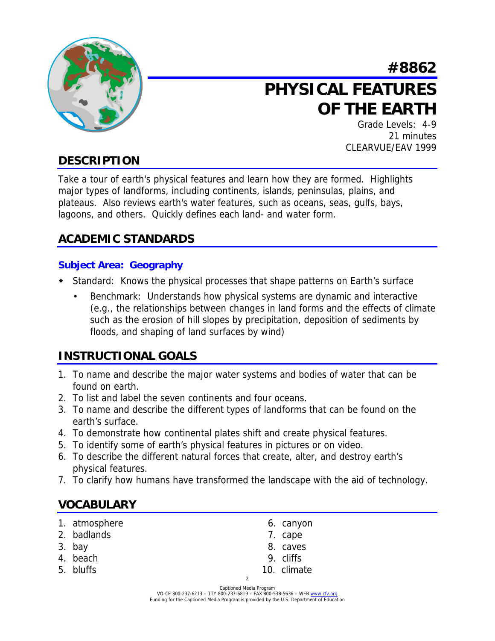

# **#8862 PHYSICAL FEATURES OF THE EARTH**

Grade Levels: 4-9 21 minutes CLEARVUE/EAV 1999

# **DESCRIPTION**

Take a tour of earth's physical features and learn how they are formed. Highlights major types of landforms, including continents, islands, peninsulas, plains, and plateaus. Also reviews earth's water features, such as oceans, seas, gulfs, bays, lagoons, and others. Quickly defines each land- and water form.

## **ACADEMIC STANDARDS**

### **Subject Area: Geography**

- ! Standard: Knows the physical processes that shape patterns on Earth's surface
	- Benchmark: Understands how physical systems are dynamic and interactive (e.g., the relationships between changes in land forms and the effects of climate such as the erosion of hill slopes by precipitation, deposition of sediments by floods, and shaping of land surfaces by wind)

## **INSTRUCTIONAL GOALS**

- 1. To name and describe the major water systems and bodies of water that can be found on earth.
- 2. To list and label the seven continents and four oceans.
- 3. To name and describe the different types of landforms that can be found on the earth's surface.
- 4. To demonstrate how continental plates shift and create physical features.
- 5. To identify some of earth's physical features in pictures or on video.
- 6. To describe the different natural forces that create, alter, and destroy earth's physical features.
- 7. To clarify how humans have transformed the landscape with the aid of technology.

## **VOCABULARY**

- 1. atmosphere 6. canyon
- 2. badlands 7. cape
- 
- 
- 
- 
- 
- 3. bay 8. caves
- 4. beach 9. cliffs
- 5. bluffs 10. climate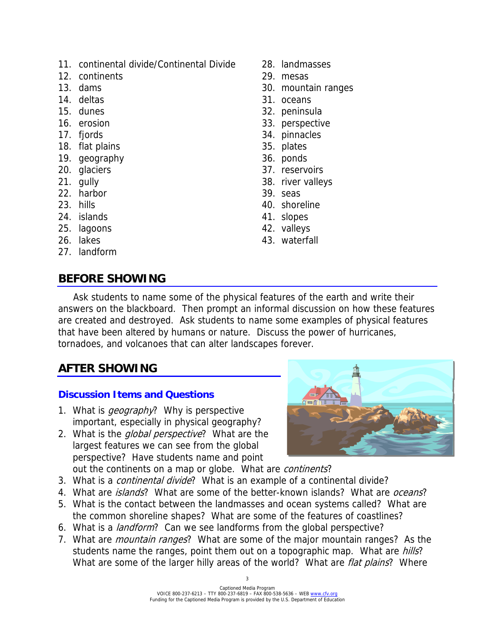- 11. continental divide/Continental Divide 28. landmasses
- 12. continents 29. mesas
- 
- 
- 
- 
- 
- 18. flat plains 35. plates
- 19. geography 36. ponds
- 
- 
- 22. harbor 39. seas
- 
- 24. islands 41. slopes
- 25. lagoons 42. valleys
- 
- 27. landform

## **BEFORE SHOWING**

- 
- 
- 13. dams 30. mountain ranges
- 14. deltas 31. oceans
- 15. dunes 32. peninsula
- 16. erosion 33. perspective
- 17. fjords 34. pinnacles
	-
	-
- 20. glaciers 37. reservoirs
- 21. gully 38. river valleys
	-
- 23. hills 23. and 23. hills 23. and 23. and 23. and 23. and 23. and 23. and 23. and 23. and 24. and 24. and 25
	-
	-
- 26. lakes 43. waterfall

 Ask students to name some of the physical features of the earth and write their answers on the blackboard. Then prompt an informal discussion on how these features are created and destroyed. Ask students to name some examples of physical features that have been altered by humans or nature. Discuss the power of hurricanes, tornadoes, and volcanoes that can alter landscapes forever.

## **AFTER SHOWING**

## **Discussion Items and Questions**

- 1. What is *geography*? Why is perspective important, especially in physical geography?
- 2. What is the *global perspective*? What are the largest features we can see from the global perspective? Have students name and point out the continents on a map or globe. What are continents?
- 3. What is a *continental divide*? What is an example of a continental divide?
- 4. What are *islands*? What are some of the better-known islands? What are *oceans*?
- 5. What is the contact between the landmasses and ocean systems called? What are the common shoreline shapes? What are some of the features of coastlines?
- 6. What is a *landform*? Can we see landforms from the global perspective?
- 7. What are *mountain ranges*? What are some of the major mountain ranges? As the students name the ranges, point them out on a topographic map. What are *hills*? What are some of the larger hilly areas of the world? What are *flat plains*? Where

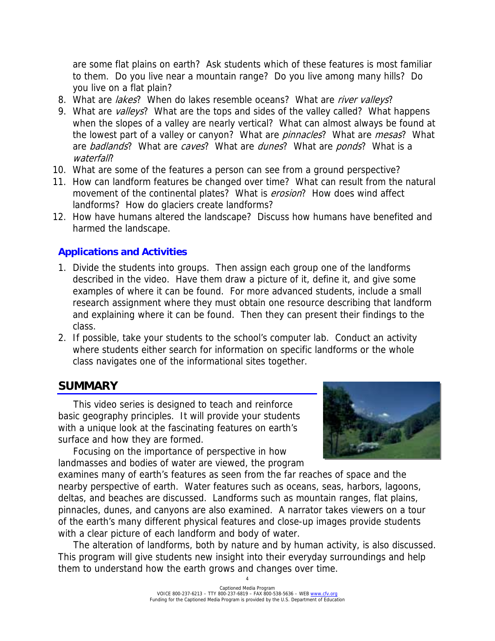are some flat plains on earth? Ask students which of these features is most familiar to them. Do you live near a mountain range? Do you live among many hills? Do you live on a flat plain?

- 8. What are lakes? When do lakes resemble oceans? What are river valleys?
- 9. What are valleys? What are the tops and sides of the valley called? What happens when the slopes of a valley are nearly vertical? What can almost always be found at the lowest part of a valley or canyon? What are *pinnacles*? What are *mesas*? What are badlands? What are caves? What are dunes? What are ponds? What is a waterfall?
- 10. What are some of the features a person can see from a ground perspective?
- 11. How can landform features be changed over time? What can result from the natural movement of the continental plates? What is *erosion*? How does wind affect landforms? How do glaciers create landforms?
- 12. How have humans altered the landscape? Discuss how humans have benefited and harmed the landscape.

### **Applications and Activities**

- 1. Divide the students into groups. Then assign each group one of the landforms described in the video. Have them draw a picture of it, define it, and give some examples of where it can be found. For more advanced students, include a small research assignment where they must obtain one resource describing that landform and explaining where it can be found. Then they can present their findings to the class.
- 2. If possible, take your students to the school's computer lab. Conduct an activity where students either search for information on specific landforms or the whole class navigates one of the informational sites together.

## **SUMMARY**

 This video series is designed to teach and reinforce basic geography principles. It will provide your students with a unique look at the fascinating features on earth's surface and how they are formed.

 Focusing on the importance of perspective in how landmasses and bodies of water are viewed, the program



examines many of earth's features as seen from the far reaches of space and the nearby perspective of earth. Water features such as oceans, seas, harbors, lagoons, deltas, and beaches are discussed. Landforms such as mountain ranges, flat plains, pinnacles, dunes, and canyons are also examined. A narrator takes viewers on a tour of the earth's many different physical features and close-up images provide students with a clear picture of each landform and body of water.

 The alteration of landforms, both by nature and by human activity, is also discussed. This program will give students new insight into their everyday surroundings and help them to understand how the earth grows and changes over time.